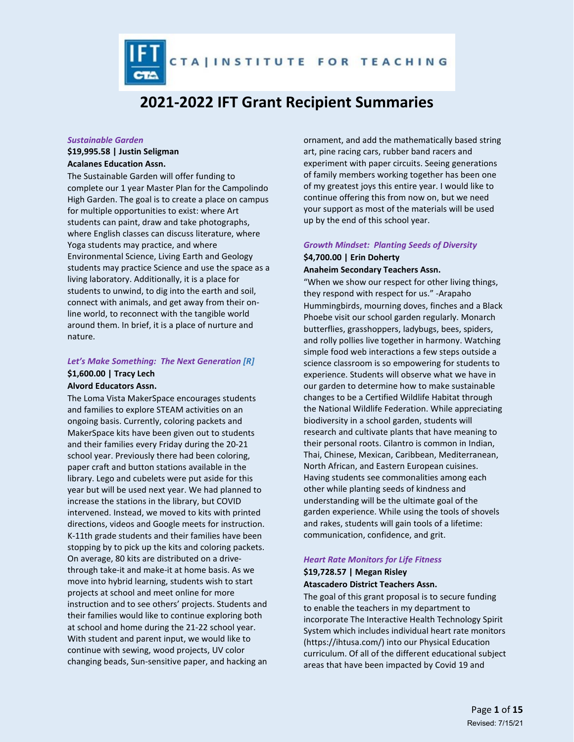CTAINSTITUTE FOR TEACHING

# **2021-2022 IFT Grant Recipient Summaries**

#### *Sustainable Garden*

## **\$19,995.58 | Justin Seligman**

### **Acalanes Education Assn.**

The Sustainable Garden will offer funding to complete our 1 year Master Plan for the Campolindo High Garden. The goal is to create a place on campus for multiple opportunities to exist: where Art students can paint, draw and take photographs, where English classes can discuss literature, where Yoga students may practice, and where Environmental Science, Living Earth and Geology students may practice Science and use the space as a living laboratory. Additionally, it is a place for students to unwind, to dig into the earth and soil, connect with animals, and get away from their online world, to reconnect with the tangible world around them. In brief, it is a place of nurture and nature.

### *Let's Make Something: The Next Generation [R]* **\$1,600.00 | Tracy Lech Alvord Educators Assn.**

The Loma Vista MakerSpace encourages students and families to explore STEAM activities on an ongoing basis. Currently, coloring packets and MakerSpace kits have been given out to students and their families every Friday during the 20-21 school year. Previously there had been coloring, paper craft and button stations available in the library. Lego and cubelets were put aside for this year but will be used next year. We had planned to increase the stations in the library, but COVID intervened. Instead, we moved to kits with printed directions, videos and Google meets for instruction. K-11th grade students and their families have been stopping by to pick up the kits and coloring packets. On average, 80 kits are distributed on a drivethrough take-it and make-it at home basis. As we move into hybrid learning, students wish to start projects at school and meet online for more instruction and to see others' projects. Students and their families would like to continue exploring both at school and home during the 21-22 school year. With student and parent input, we would like to continue with sewing, wood projects, UV color changing beads, Sun-sensitive paper, and hacking an

ornament, and add the mathematically based string art, pine racing cars, rubber band racers and experiment with paper circuits. Seeing generations of family members working together has been one of my greatest joys this entire year. I would like to continue offering this from now on, but we need your support as most of the materials will be used up by the end of this school year.

# *Growth Mindset: Planting Seeds of Diversity* **\$4,700.00 | Erin Doherty**

# **Anaheim Secondary Teachers Assn.**

"When we show our respect for other living things, they respond with respect for us." -Arapaho Hummingbirds, mourning doves, finches and a Black Phoebe visit our school garden regularly. Monarch butterflies, grasshoppers, ladybugs, bees, spiders, and rolly pollies live together in harmony. Watching simple food web interactions a few steps outside a science classroom is so empowering for students to experience. Students will observe what we have in our garden to determine how to make sustainable changes to be a Certified Wildlife Habitat through the National Wildlife Federation. While appreciating biodiversity in a school garden, students will research and cultivate plants that have meaning to their personal roots. Cilantro is common in Indian, Thai, Chinese, Mexican, Caribbean, Mediterranean, North African, and Eastern European cuisines. Having students see commonalities among each other while planting seeds of kindness and understanding will be the ultimate goal of the garden experience. While using the tools of shovels and rakes, students will gain tools of a lifetime: communication, confidence, and grit.

# *Heart Rate Monitors for Life Fitness* **\$19,728.57 | Megan Risley**

### **Atascadero District Teachers Assn.**

The goal of this grant proposal is to secure funding to enable the teachers in my department to incorporate The Interactive Health Technology Spirit System which includes individual heart rate monitors (https://ihtusa.com/) into our Physical Education curriculum. Of all of the different educational subject areas that have been impacted by Covid 19 and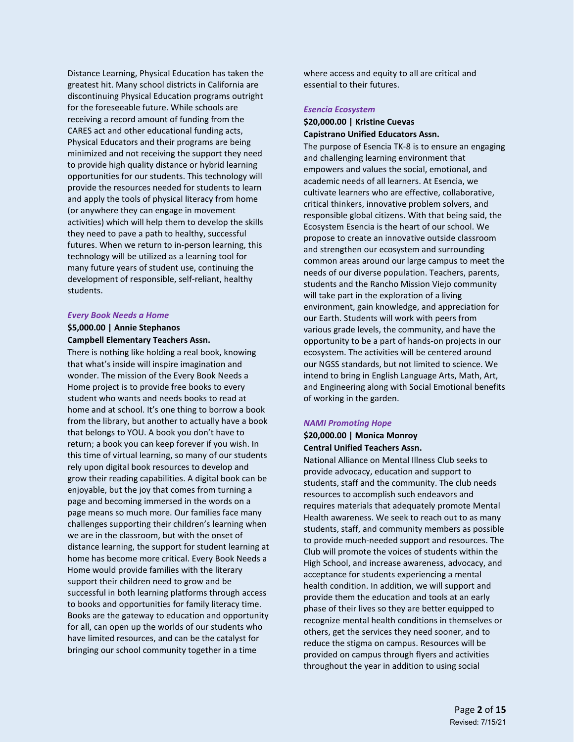Distance Learning, Physical Education has taken the greatest hit. Many school districts in California are discontinuing Physical Education programs outright for the foreseeable future. While schools are receiving a record amount of funding from the CARES act and other educational funding acts, Physical Educators and their programs are being minimized and not receiving the support they need to provide high quality distance or hybrid learning opportunities for our students. This technology will provide the resources needed for students to learn and apply the tools of physical literacy from home (or anywhere they can engage in movement activities) which will help them to develop the skills they need to pave a path to healthy, successful futures. When we return to in-person learning, this technology will be utilized as a learning tool for many future years of student use, continuing the development of responsible, self-reliant, healthy students.

#### *Every Book Needs a Home*

### **\$5,000.00 | Annie Stephanos Campbell Elementary Teachers Assn.**

There is nothing like holding a real book, knowing that what's inside will inspire imagination and wonder. The mission of the Every Book Needs a Home project is to provide free books to every student who wants and needs books to read at home and at school. It's one thing to borrow a book from the library, but another to actually have a book that belongs to YOU. A book you don't have to return; a book you can keep forever if you wish. In this time of virtual learning, so many of our students rely upon digital book resources to develop and grow their reading capabilities. A digital book can be enjoyable, but the joy that comes from turning a page and becoming immersed in the words on a page means so much more. Our families face many challenges supporting their children's learning when we are in the classroom, but with the onset of distance learning, the support for student learning at home has become more critical. Every Book Needs a Home would provide families with the literary support their children need to grow and be successful in both learning platforms through access to books and opportunities for family literacy time. Books are the gateway to education and opportunity for all, can open up the worlds of our students who have limited resources, and can be the catalyst for bringing our school community together in a time

where access and equity to all are critical and essential to their futures.

#### *Esencia Ecosystem*

### **\$20,000.00 | Kristine Cuevas Capistrano Unified Educators Assn.**

The purpose of Esencia TK-8 is to ensure an engaging and challenging learning environment that empowers and values the social, emotional, and academic needs of all learners. At Esencia, we cultivate learners who are effective, collaborative, critical thinkers, innovative problem solvers, and responsible global citizens. With that being said, the Ecosystem Esencia is the heart of our school. We propose to create an innovative outside classroom and strengthen our ecosystem and surrounding common areas around our large campus to meet the needs of our diverse population. Teachers, parents, students and the Rancho Mission Viejo community will take part in the exploration of a living environment, gain knowledge, and appreciation for our Earth. Students will work with peers from various grade levels, the community, and have the opportunity to be a part of hands-on projects in our ecosystem. The activities will be centered around our NGSS standards, but not limited to science. We intend to bring in English Language Arts, Math, Art, and Engineering along with Social Emotional benefits of working in the garden.

#### *NAMI Promoting Hope*

### **\$20,000.00 | Monica Monroy Central Unified Teachers Assn.**

National Alliance on Mental Illness Club seeks to provide advocacy, education and support to students, staff and the community. The club needs resources to accomplish such endeavors and requires materials that adequately promote Mental Health awareness. We seek to reach out to as many students, staff, and community members as possible to provide much-needed support and resources. The Club will promote the voices of students within the High School, and increase awareness, advocacy, and acceptance for students experiencing a mental health condition. In addition, we will support and provide them the education and tools at an early phase of their lives so they are better equipped to recognize mental health conditions in themselves or others, get the services they need sooner, and to reduce the stigma on campus. Resources will be provided on campus through flyers and activities throughout the year in addition to using social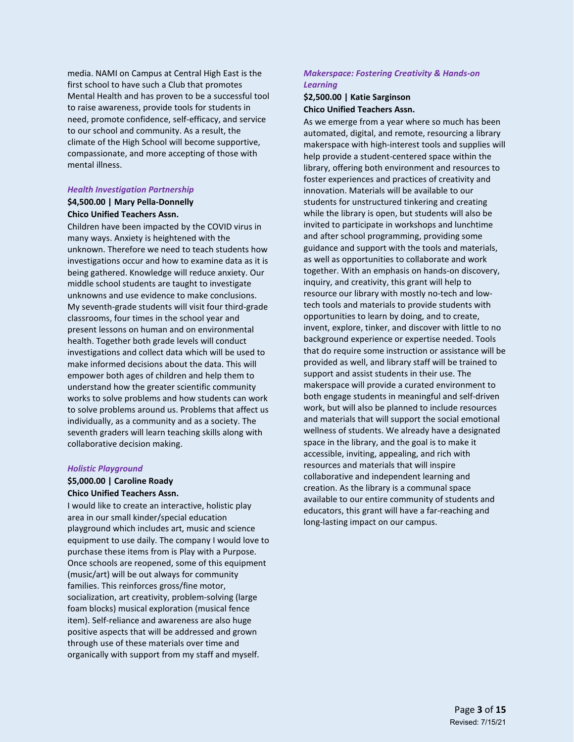media. NAMI on Campus at Central High East is the first school to have such a Club that promotes Mental Health and has proven to be a successful tool to raise awareness, provide tools for students in need, promote confidence, self-efficacy, and service to our school and community. As a result, the climate of the High School will become supportive, compassionate, and more accepting of those with mental illness.

#### *Health Investigation Partnership*

### **\$4,500.00 | Mary Pella-Donnelly Chico Unified Teachers Assn.**

Children have been impacted by the COVID virus in many ways. Anxiety is heightened with the unknown. Therefore we need to teach students how investigations occur and how to examine data as it is being gathered. Knowledge will reduce anxiety. Our middle school students are taught to investigate unknowns and use evidence to make conclusions. My seventh-grade students will visit four third-grade classrooms, four times in the school year and present lessons on human and on environmental health. Together both grade levels will conduct investigations and collect data which will be used to make informed decisions about the data. This will empower both ages of children and help them to understand how the greater scientific community works to solve problems and how students can work to solve problems around us. Problems that affect us individually, as a community and as a society. The seventh graders will learn teaching skills along with collaborative decision making.

#### *Holistic Playground*

### **\$5,000.00 | Caroline Roady Chico Unified Teachers Assn.**

I would like to create an interactive, holistic play area in our small kinder/special education playground which includes art, music and science equipment to use daily. The company I would love to purchase these items from is Play with a Purpose. Once schools are reopened, some of this equipment (music/art) will be out always for community families. This reinforces gross/fine motor, socialization, art creativity, problem-solving (large foam blocks) musical exploration (musical fence item). Self-reliance and awareness are also huge positive aspects that will be addressed and grown through use of these materials over time and organically with support from my staff and myself.

### *Makerspace: Fostering Creativity & Hands-on Learning*

### **\$2,500.00 | Katie Sarginson Chico Unified Teachers Assn.**

As we emerge from a year where so much has been automated, digital, and remote, resourcing a library makerspace with high-interest tools and supplies will help provide a student-centered space within the library, offering both environment and resources to foster experiences and practices of creativity and innovation. Materials will be available to our students for unstructured tinkering and creating while the library is open, but students will also be invited to participate in workshops and lunchtime and after school programming, providing some guidance and support with the tools and materials, as well as opportunities to collaborate and work together. With an emphasis on hands-on discovery, inquiry, and creativity, this grant will help to resource our library with mostly no-tech and lowtech tools and materials to provide students with opportunities to learn by doing, and to create, invent, explore, tinker, and discover with little to no background experience or expertise needed. Tools that do require some instruction or assistance will be provided as well, and library staff will be trained to support and assist students in their use. The makerspace will provide a curated environment to both engage students in meaningful and self-driven work, but will also be planned to include resources and materials that will support the social emotional wellness of students. We already have a designated space in the library, and the goal is to make it accessible, inviting, appealing, and rich with resources and materials that will inspire collaborative and independent learning and creation. As the library is a communal space available to our entire community of students and educators, this grant will have a far-reaching and long-lasting impact on our campus.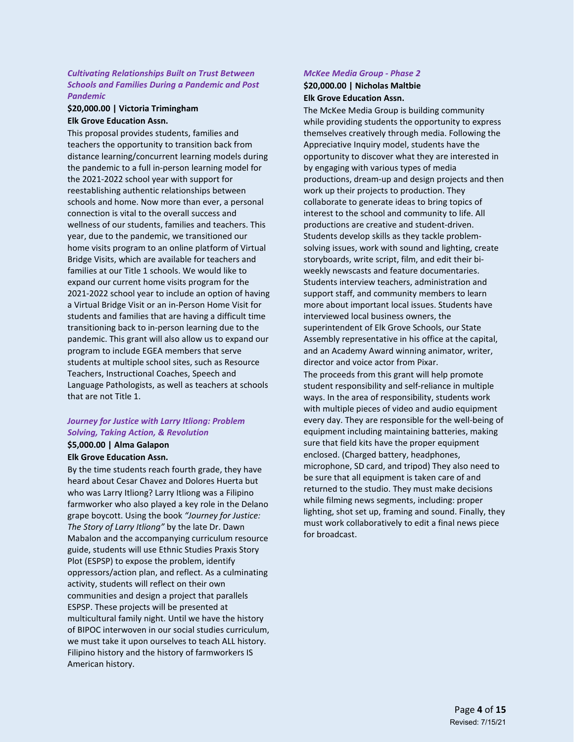### *Cultivating Relationships Built on Trust Between Schools and Families During a Pandemic and Post Pandemic*

### **\$20,000.00 | Victoria Trimingham Elk Grove Education Assn.**

This proposal provides students, families and teachers the opportunity to transition back from distance learning/concurrent learning models during the pandemic to a full in-person learning model for the 2021-2022 school year with support for reestablishing authentic relationships between schools and home. Now more than ever, a personal connection is vital to the overall success and wellness of our students, families and teachers. This year, due to the pandemic, we transitioned our home visits program to an online platform of Virtual Bridge Visits, which are available for teachers and families at our Title 1 schools. We would like to expand our current home visits program for the 2021-2022 school year to include an option of having a Virtual Bridge Visit or an in-Person Home Visit for students and families that are having a difficult time transitioning back to in-person learning due to the pandemic. This grant will also allow us to expand our program to include EGEA members that serve students at multiple school sites, such as Resource Teachers, Instructional Coaches, Speech and Language Pathologists, as well as teachers at schools that are not Title 1.

### *Journey for Justice with Larry Itliong: Problem Solving, Taking Action, & Revolution*

#### **\$5,000.00 | Alma Galapon Elk Grove Education Assn.**

By the time students reach fourth grade, they have heard about Cesar Chavez and Dolores Huerta but who was Larry Itliong? Larry Itliong was a Filipino farmworker who also played a key role in the Delano grape boycott. Using the book *"Journey for Justice: The Story of Larry Itliong"* by the late Dr. Dawn Mabalon and the accompanying curriculum resource guide, students will use Ethnic Studies Praxis Story Plot (ESPSP) to expose the problem, identify oppressors/action plan, and reflect. As a culminating activity, students will reflect on their own communities and design a project that parallels ESPSP. These projects will be presented at multicultural family night. Until we have the history of BIPOC interwoven in our social studies curriculum, we must take it upon ourselves to teach ALL history. Filipino history and the history of farmworkers IS American history.

# *McKee Media Group - Phase 2*

### **\$20,000.00 | Nicholas Maltbie Elk Grove Education Assn.**

The McKee Media Group is building community while providing students the opportunity to express themselves creatively through media. Following the Appreciative Inquiry model, students have the opportunity to discover what they are interested in by engaging with various types of media productions, dream-up and design projects and then work up their projects to production. They collaborate to generate ideas to bring topics of interest to the school and community to life. All productions are creative and student-driven. Students develop skills as they tackle problemsolving issues, work with sound and lighting, create storyboards, write script, film, and edit their biweekly newscasts and feature documentaries. Students interview teachers, administration and support staff, and community members to learn more about important local issues. Students have interviewed local business owners, the superintendent of Elk Grove Schools, our State Assembly representative in his office at the capital, and an Academy Award winning animator, writer, director and voice actor from Pixar. The proceeds from this grant will help promote student responsibility and self-reliance in multiple ways. In the area of responsibility, students work with multiple pieces of video and audio equipment every day. They are responsible for the well-being of equipment including maintaining batteries, making sure that field kits have the proper equipment enclosed. (Charged battery, headphones, microphone, SD card, and tripod) They also need to be sure that all equipment is taken care of and returned to the studio. They must make decisions while filming news segments, including: proper lighting, shot set up, framing and sound. Finally, they must work collaboratively to edit a final news piece for broadcast.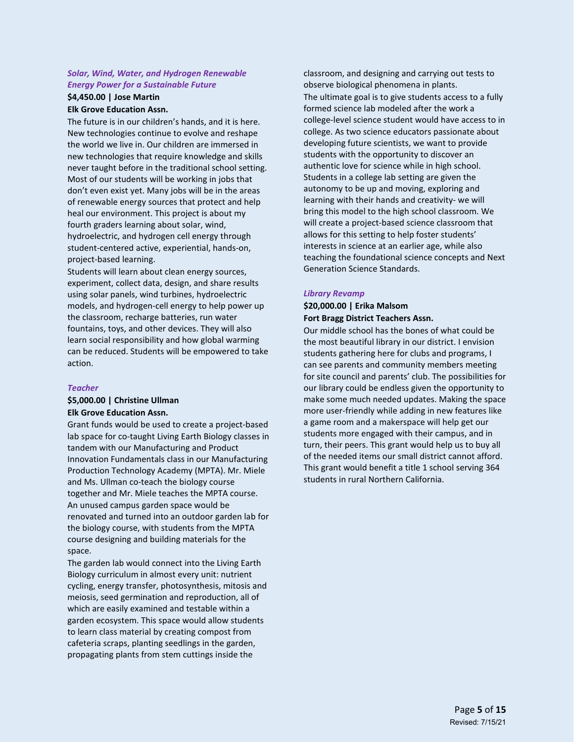### *Solar, Wind, Water, and Hydrogen Renewable Energy Power for a Sustainable Future*

### **\$4,450.00 | Jose Martin Elk Grove Education Assn.**

The future is in our children's hands, and it is here. New technologies continue to evolve and reshape the world we live in. Our children are immersed in new technologies that require knowledge and skills never taught before in the traditional school setting. Most of our students will be working in jobs that don't even exist yet. Many jobs will be in the areas of renewable energy sources that protect and help heal our environment. This project is about my fourth graders learning about solar, wind, hydroelectric, and hydrogen cell energy through student-centered active, experiential, hands-on, project-based learning.

Students will learn about clean energy sources, experiment, collect data, design, and share results using solar panels, wind turbines, hydroelectric models, and hydrogen-cell energy to help power up the classroom, recharge batteries, run water fountains, toys, and other devices. They will also learn social responsibility and how global warming can be reduced. Students will be empowered to take action.

### *Teacher*

**\$5,000.00 | Christine Ullman**

# **Elk Grove Education Assn.**

Grant funds would be used to create a project-based lab space for co-taught Living Earth Biology classes in tandem with our Manufacturing and Product Innovation Fundamentals class in our Manufacturing Production Technology Academy (MPTA). Mr. Miele and Ms. Ullman co-teach the biology course together and Mr. Miele teaches the MPTA course. An unused campus garden space would be renovated and turned into an outdoor garden lab for the biology course, with students from the MPTA course designing and building materials for the space.

The garden lab would connect into the Living Earth Biology curriculum in almost every unit: nutrient cycling, energy transfer, photosynthesis, mitosis and meiosis, seed germination and reproduction, all of which are easily examined and testable within a garden ecosystem. This space would allow students to learn class material by creating compost from cafeteria scraps, planting seedlings in the garden, propagating plants from stem cuttings inside the

classroom, and designing and carrying out tests to observe biological phenomena in plants. The ultimate goal is to give students access to a fully formed science lab modeled after the work a college-level science student would have access to in college. As two science educators passionate about developing future scientists, we want to provide students with the opportunity to discover an authentic love for science while in high school. Students in a college lab setting are given the autonomy to be up and moving, exploring and learning with their hands and creativity- we will bring this model to the high school classroom. We will create a project-based science classroom that allows for this setting to help foster students' interests in science at an earlier age, while also teaching the foundational science concepts and Next Generation Science Standards.

#### *Library Revamp*

### **\$20,000.00 | Erika Malsom Fort Bragg District Teachers Assn.**

Our middle school has the bones of what could be the most beautiful library in our district. I envision students gathering here for clubs and programs, I can see parents and community members meeting for site council and parents' club. The possibilities for our library could be endless given the opportunity to make some much needed updates. Making the space more user-friendly while adding in new features like a game room and a makerspace will help get our students more engaged with their campus, and in turn, their peers. This grant would help us to buy all of the needed items our small district cannot afford. This grant would benefit a title 1 school serving 364 students in rural Northern California.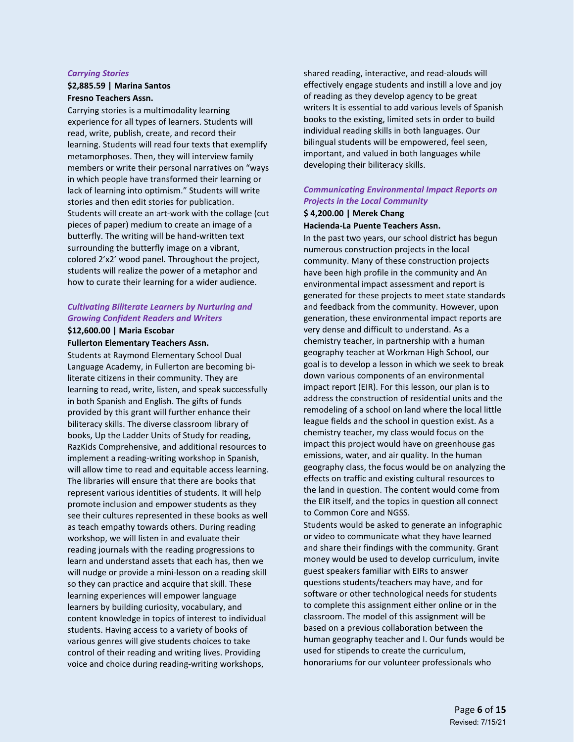#### *Carrying Stories*

#### **\$2,885.59 | Marina Santos Fresno Teachers Assn.**

Carrying stories is a multimodality learning experience for all types of learners. Students will read, write, publish, create, and record their learning. Students will read four texts that exemplify metamorphoses. Then, they will interview family members or write their personal narratives on "ways in which people have transformed their learning or lack of learning into optimism." Students will write stories and then edit stories for publication. Students will create an art-work with the collage (cut pieces of paper) medium to create an image of a butterfly. The writing will be hand-written text surrounding the butterfly image on a vibrant, colored 2'x2' wood panel. Throughout the project, students will realize the power of a metaphor and how to curate their learning for a wider audience.

### *Cultivating Biliterate Learners by Nurturing and Growing Confident Readers and Writers*

#### **\$12,600.00 | Maria Escobar Fullerton Elementary Teachers Assn.**

Students at Raymond Elementary School Dual Language Academy, in Fullerton are becoming biliterate citizens in their community. They are learning to read, write, listen, and speak successfully in both Spanish and English. The gifts of funds provided by this grant will further enhance their biliteracy skills. The diverse classroom library of books, Up the Ladder Units of Study for reading, RazKids Comprehensive, and additional resources to implement a reading-writing workshop in Spanish, will allow time to read and equitable access learning. The libraries will ensure that there are books that represent various identities of students. It will help promote inclusion and empower students as they see their cultures represented in these books as well as teach empathy towards others. During reading workshop, we will listen in and evaluate their reading journals with the reading progressions to learn and understand assets that each has, then we will nudge or provide a mini-lesson on a reading skill so they can practice and acquire that skill. These learning experiences will empower language learners by building curiosity, vocabulary, and content knowledge in topics of interest to individual students. Having access to a variety of books of various genres will give students choices to take control of their reading and writing lives. Providing voice and choice during reading-writing workshops,

shared reading, interactive, and read-alouds will effectively engage students and instill a love and joy of reading as they develop agency to be great writers It is essential to add various levels of Spanish books to the existing, limited sets in order to build individual reading skills in both languages. Our bilingual students will be empowered, feel seen, important, and valued in both languages while developing their biliteracy skills.

# *Communicating Environmental Impact Reports on Projects in the Local Community*

### **\$ 4,200.00 | Merek Chang**

### **Hacienda-La Puente Teachers Assn.**

In the past two years, our school district has begun numerous construction projects in the local community. Many of these construction projects have been high profile in the community and An environmental impact assessment and report is generated for these projects to meet state standards and feedback from the community. However, upon generation, these environmental impact reports are very dense and difficult to understand. As a chemistry teacher, in partnership with a human geography teacher at Workman High School, our goal is to develop a lesson in which we seek to break down various components of an environmental impact report (EIR). For this lesson, our plan is to address the construction of residential units and the remodeling of a school on land where the local little league fields and the school in question exist. As a chemistry teacher, my class would focus on the impact this project would have on greenhouse gas emissions, water, and air quality. In the human geography class, the focus would be on analyzing the effects on traffic and existing cultural resources to the land in question. The content would come from the EIR itself, and the topics in question all connect to Common Core and NGSS.

Students would be asked to generate an infographic or video to communicate what they have learned and share their findings with the community. Grant money would be used to develop curriculum, invite guest speakers familiar with EIRs to answer questions students/teachers may have, and for software or other technological needs for students to complete this assignment either online or in the classroom. The model of this assignment will be based on a previous collaboration between the human geography teacher and I. Our funds would be used for stipends to create the curriculum, honorariums for our volunteer professionals who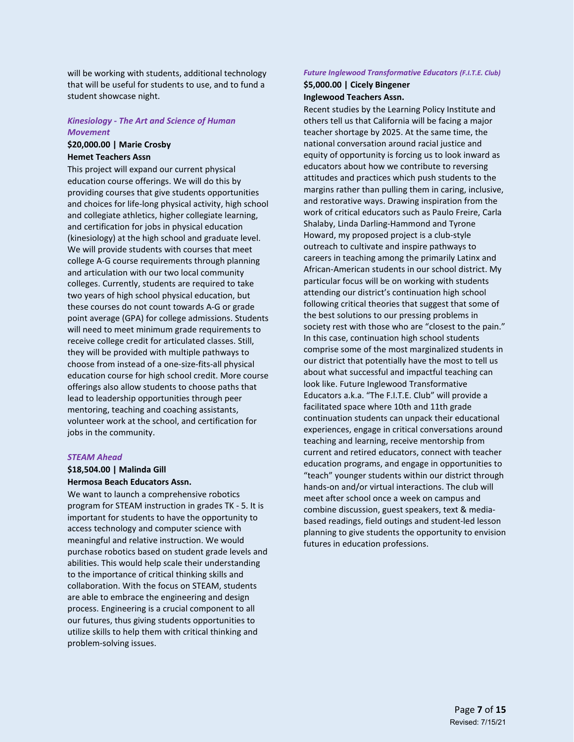will be working with students, additional technology that will be useful for students to use, and to fund a student showcase night.

#### *Kinesiology - The Art and Science of Human Movement*

### **\$20,000.00 | Marie Crosby Hemet Teachers Assn**

This project will expand our current physical education course offerings. We will do this by providing courses that give students opportunities and choices for life-long physical activity, high school and collegiate athletics, higher collegiate learning, and certification for jobs in physical education (kinesiology) at the high school and graduate level. We will provide students with courses that meet college A-G course requirements through planning and articulation with our two local community colleges. Currently, students are required to take two years of high school physical education, but these courses do not count towards A-G or grade point average (GPA) for college admissions. Students will need to meet minimum grade requirements to receive college credit for articulated classes. Still, they will be provided with multiple pathways to choose from instead of a one-size-fits-all physical education course for high school credit. More course offerings also allow students to choose paths that lead to leadership opportunities through peer mentoring, teaching and coaching assistants, volunteer work at the school, and certification for jobs in the community.

#### *STEAM Ahead*

### **\$18,504.00 | Malinda Gill Hermosa Beach Educators Assn.**

We want to launch a comprehensive robotics program for STEAM instruction in grades TK - 5. It is important for students to have the opportunity to access technology and computer science with meaningful and relative instruction. We would purchase robotics based on student grade levels and abilities. This would help scale their understanding to the importance of critical thinking skills and collaboration. With the focus on STEAM, students are able to embrace the engineering and design process. Engineering is a crucial component to all our futures, thus giving students opportunities to utilize skills to help them with critical thinking and problem-solving issues.

# *Future Inglewood Transformative Educators (F.I.T.E. Club)*

#### **\$5,000.00 | Cicely Bingener Inglewood Teachers Assn.**

Recent studies by the Learning Policy Institute and others tell us that California will be facing a major teacher shortage by 2025. At the same time, the national conversation around racial justice and equity of opportunity is forcing us to look inward as educators about how we contribute to reversing attitudes and practices which push students to the margins rather than pulling them in caring, inclusive, and restorative ways. Drawing inspiration from the work of critical educators such as Paulo Freire, Carla Shalaby, Linda Darling-Hammond and Tyrone Howard, my proposed project is a club-style outreach to cultivate and inspire pathways to careers in teaching among the primarily Latinx and African-American students in our school district. My particular focus will be on working with students attending our district's continuation high school following critical theories that suggest that some of the best solutions to our pressing problems in society rest with those who are "closest to the pain." In this case, continuation high school students comprise some of the most marginalized students in our district that potentially have the most to tell us about what successful and impactful teaching can look like. Future Inglewood Transformative Educators a.k.a. "The F.I.T.E. Club" will provide a facilitated space where 10th and 11th grade continuation students can unpack their educational experiences, engage in critical conversations around teaching and learning, receive mentorship from current and retired educators, connect with teacher education programs, and engage in opportunities to "teach" younger students within our district through hands-on and/or virtual interactions. The club will meet after school once a week on campus and combine discussion, guest speakers, text & mediabased readings, field outings and student-led lesson planning to give students the opportunity to envision futures in education professions.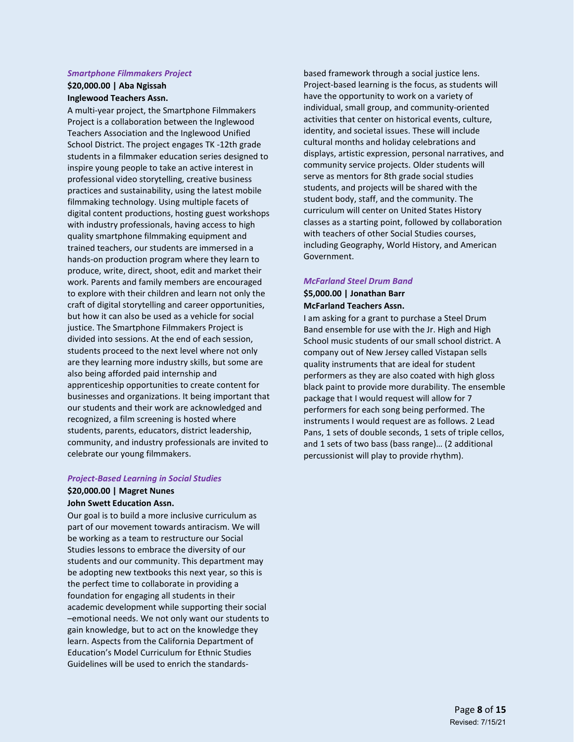#### *Smartphone Filmmakers Project*

### **\$20,000.00 | Aba Ngissah Inglewood Teachers Assn.**

A multi-year project, the Smartphone Filmmakers Project is a collaboration between the Inglewood Teachers Association and the Inglewood Unified School District. The project engages TK -12th grade students in a filmmaker education series designed to inspire young people to take an active interest in professional video storytelling, creative business practices and sustainability, using the latest mobile filmmaking technology. Using multiple facets of digital content productions, hosting guest workshops with industry professionals, having access to high quality smartphone filmmaking equipment and trained teachers, our students are immersed in a hands-on production program where they learn to produce, write, direct, shoot, edit and market their work. Parents and family members are encouraged to explore with their children and learn not only the craft of digital storytelling and career opportunities, but how it can also be used as a vehicle for social justice. The Smartphone Filmmakers Project is divided into sessions. At the end of each session, students proceed to the next level where not only are they learning more industry skills, but some are also being afforded paid internship and apprenticeship opportunities to create content for businesses and organizations. It being important that our students and their work are acknowledged and recognized, a film screening is hosted where students, parents, educators, district leadership, community, and industry professionals are invited to celebrate our young filmmakers.

#### *Project-Based Learning in Social Studies*

#### **\$20,000.00 | Magret Nunes John Swett Education Assn.**

Our goal is to build a more inclusive curriculum as part of our movement towards antiracism. We will be working as a team to restructure our Social Studies lessons to embrace the diversity of our students and our community. This department may be adopting new textbooks this next year, so this is the perfect time to collaborate in providing a foundation for engaging all students in their academic development while supporting their social –emotional needs. We not only want our students to gain knowledge, but to act on the knowledge they learn. Aspects from the California Department of Education's Model Curriculum for Ethnic Studies Guidelines will be used to enrich the standards-

based framework through a social justice lens. Project-based learning is the focus, as students will have the opportunity to work on a variety of individual, small group, and community-oriented activities that center on historical events, culture, identity, and societal issues. These will include cultural months and holiday celebrations and displays, artistic expression, personal narratives, and community service projects. Older students will serve as mentors for 8th grade social studies students, and projects will be shared with the student body, staff, and the community. The curriculum will center on United States History classes as a starting point, followed by collaboration with teachers of other Social Studies courses, including Geography, World History, and American Government.

#### *McFarland Steel Drum Band*

**\$5,000.00 | Jonathan Barr McFarland Teachers Assn.**

I am asking for a grant to purchase a Steel Drum Band ensemble for use with the Jr. High and High School music students of our small school district. A company out of New Jersey called Vistapan sells quality instruments that are ideal for student performers as they are also coated with high gloss black paint to provide more durability. The ensemble package that I would request will allow for 7 performers for each song being performed. The instruments I would request are as follows. 2 Lead Pans, 1 sets of double seconds, 1 sets of triple cellos, and 1 sets of two bass (bass range)… (2 additional percussionist will play to provide rhythm).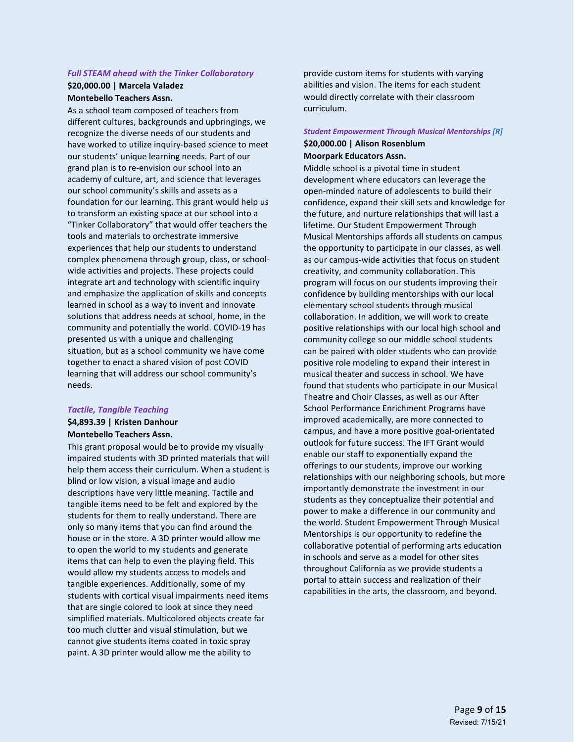# *Full STEAM ahead with the Tinker Collaboratory*

#### **\$20,000.00 | Marcela Valadez Montebello Teachers Assn.**

As a school team composed of teachers from different cultures, backgrounds and upbringings, we recognize the diverse needs of our students and have worked to utilize inquiry-based science to meet our students' unique learning needs. Part of our grand plan is to re-envision our school into an academy of culture, art, and science that leverages our school community's skills and assets as a foundation for our learning. This grant would help us to transform an existing space at our school into a "Tinker Collaboratory" that would offer teachers the tools and materials to orchestrate immersive experiences that help our students to understand complex phenomena through group, class, or schoolwide activities and projects. These projects could integrate art and technology with scientific inquiry and emphasize the application of skills and concepts learned in school as a way to invent and innovate solutions that address needs at school, home, in the community and potentially the world. COVID-19 has presented us with a unique and challenging situation, but as a school community we have come together to enact a shared vision of post COVID learning that will address our school community's needs.

### *Tactile, Tangible Teaching*

# **\$4,893.39 | Kristen Danhour Montebello Teachers Assn.**

This grant proposal would be to provide my visually impaired students with 3D printed materials that will help them access their curriculum. When a student is blind or low vision, a visual image and audio descriptions have very little meaning. Tactile and tangible items need to be felt and explored by the students for them to really understand. There are only so many items that you can find around the house or in the store. A 3D printer would allow me to open the world to my students and generate items that can help to even the playing field. This would allow my students access to models and tangible experiences. Additionally, some of my students with cortical visual impairments need items that are single colored to look at since they need simplified materials. Multicolored objects create far too much clutter and visual stimulation, but we cannot give students items coated in toxic spray paint. A 3D printer would allow me the ability to

provide custom items for students with varying abilities and vision. The items for each student would directly correlate with their classroom curriculum.

# *Student Empowerment Through Musical Mentorships [R]* **\$20,000.00 | Alison Rosenblum**

### **Moorpark Educators Assn.**

Middle school is a pivotal time in student development where educators can leverage the open-minded nature of adolescents to build their confidence, expand their skill sets and knowledge for the future, and nurture relationships that will last a lifetime. Our Student Empowerment Through Musical Mentorships affords all students on campus the opportunity to participate in our classes, as well as our campus-wide activities that focus on student creativity, and community collaboration. This program will focus on our students improving their confidence by building mentorships with our local elementary school students through musical collaboration. In addition, we will work to create positive relationships with our local high school and community college so our middle school students can be paired with older students who can provide positive role modeling to expand their interest in musical theater and success in school. We have found that students who participate in our Musical Theatre and Choir Classes, as well as our After School Performance Enrichment Programs have improved academically, are more connected to campus, and have a more positive goal-orientated outlook for future success. The IFT Grant would enable our staff to exponentially expand the offerings to our students, improve our working relationships with our neighboring schools, but more importantly demonstrate the investment in our students as they conceptualize their potential and power to make a difference in our community and the world. Student Empowerment Through Musical Mentorships is our opportunity to redefine the collaborative potential of performing arts education in schools and serve as a model for other sites throughout California as we provide students a portal to attain success and realization of their capabilities in the arts, the classroom, and beyond.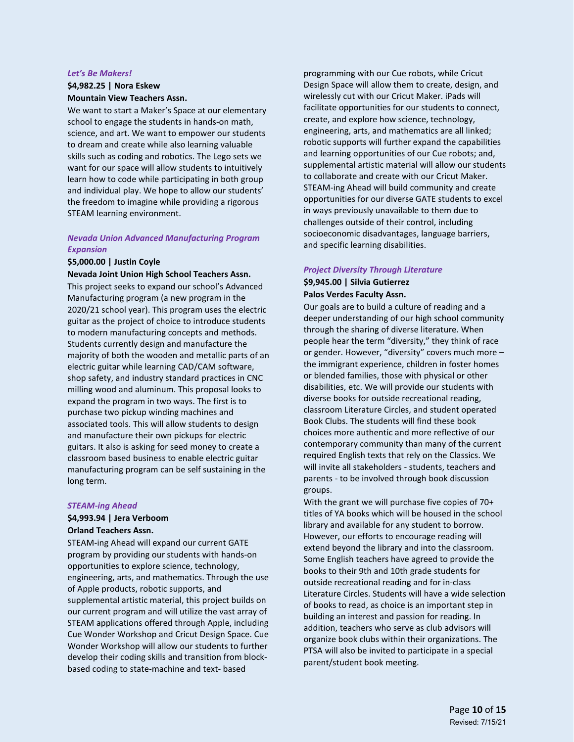#### *Let's Be Makers!*

### **\$4,982.25 | Nora Eskew Mountain View Teachers Assn.**

We want to start a Maker's Space at our elementary school to engage the students in hands-on math, science, and art. We want to empower our students to dream and create while also learning valuable skills such as coding and robotics. The Lego sets we want for our space will allow students to intuitively learn how to code while participating in both group and individual play. We hope to allow our students' the freedom to imagine while providing a rigorous STEAM learning environment.

### *Nevada Union Advanced Manufacturing Program Expansion*

#### **\$5,000.00 | Justin Coyle**

#### **Nevada Joint Union High School Teachers Assn.**

This project seeks to expand our school's Advanced Manufacturing program (a new program in the 2020/21 school year). This program uses the electric guitar as the project of choice to introduce students to modern manufacturing concepts and methods. Students currently design and manufacture the majority of both the wooden and metallic parts of an electric guitar while learning CAD/CAM software, shop safety, and industry standard practices in CNC milling wood and aluminum. This proposal looks to expand the program in two ways. The first is to purchase two pickup winding machines and associated tools. This will allow students to design and manufacture their own pickups for electric guitars. It also is asking for seed money to create a classroom based business to enable electric guitar manufacturing program can be self sustaining in the long term.

#### *STEAM-ing Ahead*

# **\$4,993.94 | Jera Verboom**

### **Orland Teachers Assn.**

STEAM-ing Ahead will expand our current GATE program by providing our students with hands-on opportunities to explore science, technology, engineering, arts, and mathematics. Through the use of Apple products, robotic supports, and supplemental artistic material, this project builds on our current program and will utilize the vast array of STEAM applications offered through Apple, including Cue Wonder Workshop and Cricut Design Space. Cue Wonder Workshop will allow our students to further develop their coding skills and transition from blockbased coding to state-machine and text- based

programming with our Cue robots, while Cricut Design Space will allow them to create, design, and wirelessly cut with our Cricut Maker. iPads will facilitate opportunities for our students to connect, create, and explore how science, technology, engineering, arts, and mathematics are all linked; robotic supports will further expand the capabilities and learning opportunities of our Cue robots; and, supplemental artistic material will allow our students to collaborate and create with our Cricut Maker. STEAM-ing Ahead will build community and create opportunities for our diverse GATE students to excel in ways previously unavailable to them due to challenges outside of their control, including socioeconomic disadvantages, language barriers, and specific learning disabilities.

#### *Project Diversity Through Literature*

### **\$9,945.00 | Silvia Gutierrez Palos Verdes Faculty Assn.**

Our goals are to build a culture of reading and a deeper understanding of our high school community through the sharing of diverse literature. When people hear the term "diversity," they think of race or gender. However, "diversity" covers much more – the immigrant experience, children in foster homes or blended families, those with physical or other disabilities, etc. We will provide our students with diverse books for outside recreational reading, classroom Literature Circles, and student operated Book Clubs. The students will find these book choices more authentic and more reflective of our contemporary community than many of the current required English texts that rely on the Classics. We will invite all stakeholders - students, teachers and parents - to be involved through book discussion groups.

With the grant we will purchase five copies of 70+ titles of YA books which will be housed in the school library and available for any student to borrow. However, our efforts to encourage reading will extend beyond the library and into the classroom. Some English teachers have agreed to provide the books to their 9th and 10th grade students for outside recreational reading and for in-class Literature Circles. Students will have a wide selection of books to read, as choice is an important step in building an interest and passion for reading. In addition, teachers who serve as club advisors will organize book clubs within their organizations. The PTSA will also be invited to participate in a special parent/student book meeting.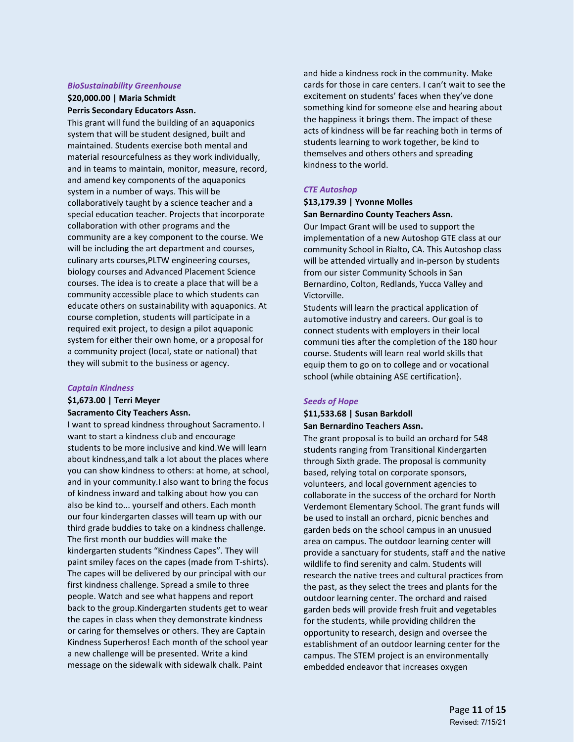#### *BioSustainability Greenhouse*

### **\$20,000.00 | Maria Schmidt Perris Secondary Educators Assn.**

This grant will fund the building of an aquaponics system that will be student designed, built and maintained. Students exercise both mental and material resourcefulness as they work individually, and in teams to maintain, monitor, measure, record, and amend key components of the aquaponics system in a number of ways. This will be collaboratively taught by a science teacher and a special education teacher. Projects that incorporate collaboration with other programs and the community are a key component to the course. We will be including the art department and courses, culinary arts courses,PLTW engineering courses, biology courses and Advanced Placement Science courses. The idea is to create a place that will be a community accessible place to which students can educate others on sustainability with aquaponics. At course completion, students will participate in a required exit project, to design a pilot aquaponic system for either their own home, or a proposal for a community project (local, state or national) that they will submit to the business or agency.

#### *Captain Kindness*

## **\$1,673.00 | Terri Meyer**

#### **Sacramento City Teachers Assn.**

I want to spread kindness throughout Sacramento. I want to start a kindness club and encourage students to be more inclusive and kind.We will learn about kindness,and talk a lot about the places where you can show kindness to others: at home, at school, and in your community.I also want to bring the focus of kindness inward and talking about how you can also be kind to... yourself and others. Each month our four kindergarten classes will team up with our third grade buddies to take on a kindness challenge. The first month our buddies will make the kindergarten students "Kindness Capes". They will paint smiley faces on the capes (made from T-shirts). The capes will be delivered by our principal with our first kindness challenge. Spread a smile to three people. Watch and see what happens and report back to the group.Kindergarten students get to wear the capes in class when they demonstrate kindness or caring for themselves or others. They are Captain Kindness Superheros! Each month of the school year a new challenge will be presented. Write a kind message on the sidewalk with sidewalk chalk. Paint

and hide a kindness rock in the community. Make cards for those in care centers. I can't wait to see the excitement on students' faces when they've done something kind for someone else and hearing about the happiness it brings them. The impact of these acts of kindness will be far reaching both in terms of students learning to work together, be kind to themselves and others others and spreading kindness to the world.

#### *CTE Autoshop*

### **\$13,179.39 | Yvonne Molles San Bernardino County Teachers Assn.**

Our Impact Grant will be used to support the implementation of a new Autoshop GTE class at our community School in Rialto, CA. This Autoshop class will be attended virtually and in-person by students from our sister Community Schools in San Bernardino, Colton, Redlands, Yucca Valley and Victorville.

Students will learn the practical application of automotive industry and careers. Our goal is to connect students with employers in their local communi ties after the completion of the 180 hour course. Students will learn real world skills that equip them to go on to college and or vocational school (while obtaining ASE certification}.

#### *Seeds of Hope*

#### **\$11,533.68 | Susan Barkdoll San Bernardino Teachers Assn.**

The grant proposal is to build an orchard for 548 students ranging from Transitional Kindergarten through Sixth grade. The proposal is community based, relying total on corporate sponsors, volunteers, and local government agencies to collaborate in the success of the orchard for North Verdemont Elementary School. The grant funds will be used to install an orchard, picnic benches and garden beds on the school campus in an unusued area on campus. The outdoor learning center will provide a sanctuary for students, staff and the native wildlife to find serenity and calm. Students will research the native trees and cultural practices from the past, as they select the trees and plants for the outdoor learning center. The orchard and raised garden beds will provide fresh fruit and vegetables for the students, while providing children the opportunity to research, design and oversee the establishment of an outdoor learning center for the campus. The STEM project is an environmentally embedded endeavor that increases oxygen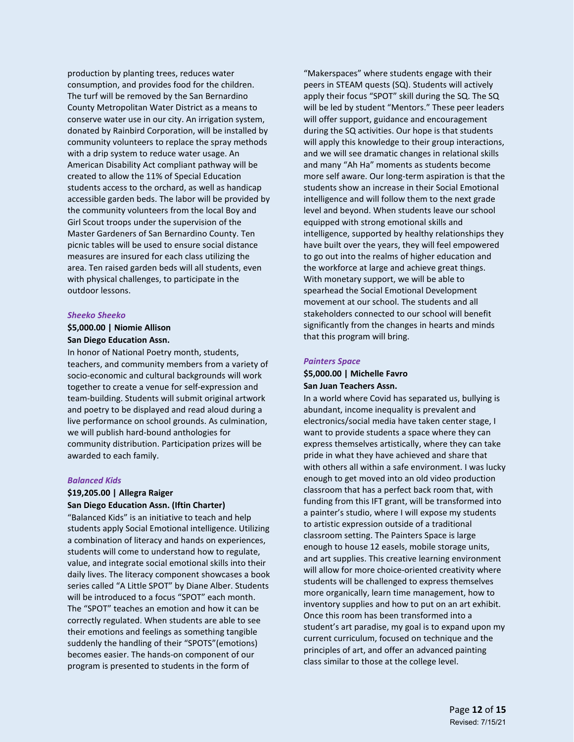production by planting trees, reduces water consumption, and provides food for the children. The turf will be removed by the San Bernardino County Metropolitan Water District as a means to conserve water use in our city. An irrigation system, donated by Rainbird Corporation, will be installed by community volunteers to replace the spray methods with a drip system to reduce water usage. An American Disability Act compliant pathway will be created to allow the 11% of Special Education students access to the orchard, as well as handicap accessible garden beds. The labor will be provided by the community volunteers from the local Boy and Girl Scout troops under the supervision of the Master Gardeners of San Bernardino County. Ten picnic tables will be used to ensure social distance measures are insured for each class utilizing the area. Ten raised garden beds will all students, even with physical challenges, to participate in the outdoor lessons.

#### *Sheeko Sheeko*

### **\$5,000.00 | Niomie Allison San Diego Education Assn.**

In honor of National Poetry month, students, teachers, and community members from a variety of socio-economic and cultural backgrounds will work together to create a venue for self-expression and team-building. Students will submit original artwork and poetry to be displayed and read aloud during a live performance on school grounds. As culmination, we will publish hard-bound anthologies for community distribution. Participation prizes will be awarded to each family.

#### *Balanced Kids*

### **\$19,205.00 | Allegra Raiger San Diego Education Assn. (Iftin Charter)**

"Balanced Kids" is an initiative to teach and help students apply Social Emotional intelligence. Utilizing a combination of literacy and hands on experiences, students will come to understand how to regulate, value, and integrate social emotional skills into their daily lives. The literacy component showcases a book series called "A Little SPOT" by Diane Alber. Students will be introduced to a focus "SPOT" each month. The "SPOT" teaches an emotion and how it can be correctly regulated. When students are able to see their emotions and feelings as something tangible suddenly the handling of their "SPOTS"(emotions) becomes easier. The hands-on component of our program is presented to students in the form of

"Makerspaces" where students engage with their peers in STEAM quests (SQ). Students will actively apply their focus "SPOT" skill during the SQ. The SQ will be led by student "Mentors." These peer leaders will offer support, guidance and encouragement during the SQ activities. Our hope is that students will apply this knowledge to their group interactions, and we will see dramatic changes in relational skills and many "Ah Ha" moments as students become more self aware. Our long-term aspiration is that the students show an increase in their Social Emotional intelligence and will follow them to the next grade level and beyond. When students leave our school equipped with strong emotional skills and intelligence, supported by healthy relationships they have built over the years, they will feel empowered to go out into the realms of higher education and the workforce at large and achieve great things. With monetary support, we will be able to spearhead the Social Emotional Development movement at our school. The students and all stakeholders connected to our school will benefit significantly from the changes in hearts and minds that this program will bring.

#### *Painters Space*

#### **\$5,000.00 | Michelle Favro San Juan Teachers Assn.**

In a world where Covid has separated us, bullying is abundant, income inequality is prevalent and electronics/social media have taken center stage, I want to provide students a space where they can express themselves artistically, where they can take pride in what they have achieved and share that with others all within a safe environment. I was lucky enough to get moved into an old video production classroom that has a perfect back room that, with funding from this IFT grant, will be transformed into a painter's studio, where I will expose my students to artistic expression outside of a traditional classroom setting. The Painters Space is large enough to house 12 easels, mobile storage units, and art supplies. This creative learning environment will allow for more choice-oriented creativity where students will be challenged to express themselves more organically, learn time management, how to inventory supplies and how to put on an art exhibit. Once this room has been transformed into a student's art paradise, my goal is to expand upon my current curriculum, focused on technique and the principles of art, and offer an advanced painting class similar to those at the college level.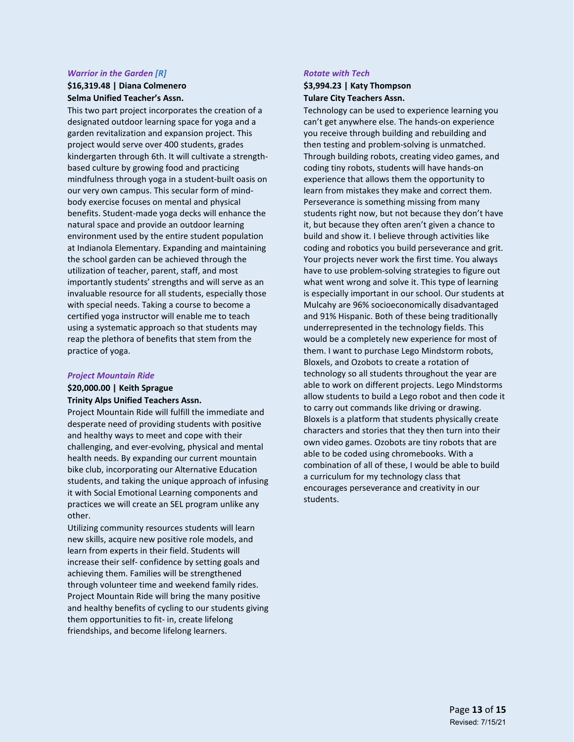#### *Warrior in the Garden [R]*

### **\$16,319.48 | Diana Colmenero Selma Unified Teacher's Assn.**

This two part project incorporates the creation of a designated outdoor learning space for yoga and a garden revitalization and expansion project. This project would serve over 400 students, grades kindergarten through 6th. It will cultivate a strengthbased culture by growing food and practicing mindfulness through yoga in a student-built oasis on our very own campus. This secular form of mindbody exercise focuses on mental and physical benefits. Student-made yoga decks will enhance the natural space and provide an outdoor learning environment used by the entire student population at Indianola Elementary. Expanding and maintaining the school garden can be achieved through the utilization of teacher, parent, staff, and most importantly students' strengths and will serve as an invaluable resource for all students, especially those with special needs. Taking a course to become a certified yoga instructor will enable me to teach using a systematic approach so that students may reap the plethora of benefits that stem from the practice of yoga.

#### *Project Mountain Ride*

### **\$20,000.00 | Keith Sprague Trinity Alps Unified Teachers Assn.**

Project Mountain Ride will fulfill the immediate and desperate need of providing students with positive and healthy ways to meet and cope with their challenging, and ever-evolving, physical and mental health needs. By expanding our current mountain bike club, incorporating our Alternative Education students, and taking the unique approach of infusing it with Social Emotional Learning components and practices we will create an SEL program unlike any other.

Utilizing community resources students will learn new skills, acquire new positive role models, and learn from experts in their field. Students will increase their self- confidence by setting goals and achieving them. Families will be strengthened through volunteer time and weekend family rides. Project Mountain Ride will bring the many positive and healthy benefits of cycling to our students giving them opportunities to fit- in, create lifelong friendships, and become lifelong learners.

#### *Rotate with Tech*

### **\$3,994.23 | Katy Thompson Tulare City Teachers Assn.**

Technology can be used to experience learning you can't get anywhere else. The hands-on experience you receive through building and rebuilding and then testing and problem-solving is unmatched. Through building robots, creating video games, and coding tiny robots, students will have hands-on experience that allows them the opportunity to learn from mistakes they make and correct them. Perseverance is something missing from many students right now, but not because they don't have it, but because they often aren't given a chance to build and show it. I believe through activities like coding and robotics you build perseverance and grit. Your projects never work the first time. You always have to use problem-solving strategies to figure out what went wrong and solve it. This type of learning is especially important in our school. Our students at Mulcahy are 96% socioeconomically disadvantaged and 91% Hispanic. Both of these being traditionally underrepresented in the technology fields. This would be a completely new experience for most of them. I want to purchase Lego Mindstorm robots, Bloxels, and Ozobots to create a rotation of technology so all students throughout the year are able to work on different projects. Lego Mindstorms allow students to build a Lego robot and then code it to carry out commands like driving or drawing. Bloxels is a platform that students physically create characters and stories that they then turn into their own video games. Ozobots are tiny robots that are able to be coded using chromebooks. With a combination of all of these, I would be able to build a curriculum for my technology class that encourages perseverance and creativity in our students.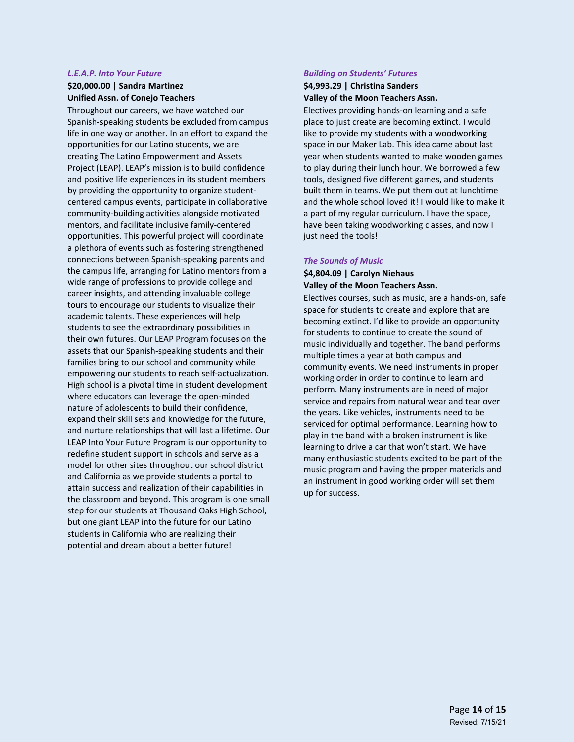# *L.E.A.P. Into Your Future*

### **\$20,000.00 | Sandra Martinez Unified Assn. of Conejo Teachers**

Throughout our careers, we have watched our Spanish-speaking students be excluded from campus life in one way or another. In an effort to expand the opportunities for our Latino students, we are creating The Latino Empowerment and Assets Project (LEAP). LEAP's mission is to build confidence and positive life experiences in its student members by providing the opportunity to organize studentcentered campus events, participate in collaborative community-building activities alongside motivated mentors, and facilitate inclusive family-centered opportunities. This powerful project will coordinate a plethora of events such as fostering strengthened connections between Spanish-speaking parents and the campus life, arranging for Latino mentors from a wide range of professions to provide college and career insights, and attending invaluable college tours to encourage our students to visualize their academic talents. These experiences will help students to see the extraordinary possibilities in their own futures. Our LEAP Program focuses on the assets that our Spanish-speaking students and their families bring to our school and community while empowering our students to reach self-actualization. High school is a pivotal time in student development where educators can leverage the open-minded nature of adolescents to build their confidence, expand their skill sets and knowledge for the future, and nurture relationships that will last a lifetime. Our LEAP Into Your Future Program is our opportunity to redefine student support in schools and serve as a model for other sites throughout our school district and California as we provide students a portal to attain success and realization of their capabilities in the classroom and beyond. This program is one small step for our students at Thousand Oaks High School, but one giant LEAP into the future for our Latino students in California who are realizing their potential and dream about a better future!

# *Building on Students' Futures*

### **\$4,993.29 | Christina Sanders Valley of the Moon Teachers Assn.**

Electives providing hands-on learning and a safe place to just create are becoming extinct. I would like to provide my students with a woodworking space in our Maker Lab. This idea came about last year when students wanted to make wooden games to play during their lunch hour. We borrowed a few tools, designed five different games, and students built them in teams. We put them out at lunchtime and the whole school loved it! I would like to make it a part of my regular curriculum. I have the space, have been taking woodworking classes, and now I just need the tools!

### *The Sounds of Music*

### **\$4,804.09 | Carolyn Niehaus Valley of the Moon Teachers Assn.**

Electives courses, such as music, are a hands-on, safe space for students to create and explore that are becoming extinct. I'd like to provide an opportunity for students to continue to create the sound of music individually and together. The band performs multiple times a year at both campus and community events. We need instruments in proper working order in order to continue to learn and perform. Many instruments are in need of major service and repairs from natural wear and tear over the years. Like vehicles, instruments need to be serviced for optimal performance. Learning how to play in the band with a broken instrument is like learning to drive a car that won't start. We have many enthusiastic students excited to be part of the music program and having the proper materials and an instrument in good working order will set them up for success.